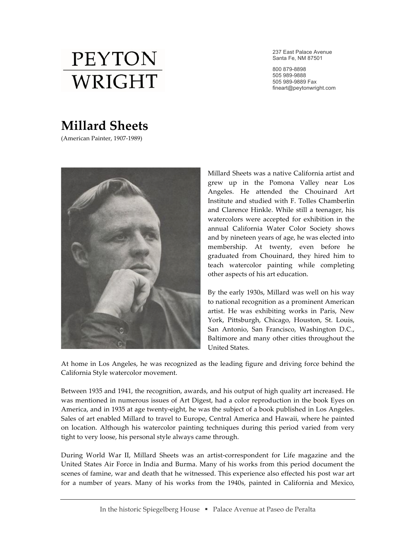

237 East Palace Avenue Santa Fe, NM 87501

800 879-8898 505 989-9888 505 989-9889 Fax fineart@peytonwright.com

## **Millard'Sheets**

(American Painter, 1907-1989)



Millard Sheets was a native California artist and grew up in the Pomona Valley near Los Angeles. He attended the Chouinard Art Institute and studied with F. Tolles Chamberlin and Clarence Hinkle. While still a teenager, his watercolors were accepted for exhibition in the annual California Water Color Society shows and by nineteen years of age, he was elected into membership. At twenty, even before he graduated from Chouinard, they hired him to teach watercolor painting while completing other aspects of his art education.

By the early 1930s, Millard was well on his way to national recognition as a prominent American artist. He was exhibiting works in Paris, New York, Pittsburgh, Chicago, Houston, St. Louis, San Antonio, San Francisco, Washington D.C., Baltimore and many other cities throughout the United States.

At home in Los Angeles, he was recognized as the leading figure and driving force behind the California Style watercolor movement.

Between 1935 and 1941, the recognition, awards, and his output of high quality art increased. He was mentioned in numerous issues of Art Digest, had a color reproduction in the book Eyes on America, and in 1935 at age twenty-eight, he was the subject of a book published in Los Angeles. Sales of art enabled Millard to travel to Europe, Central America and Hawaii, where he painted on location. Although his watercolor painting techniques during this period varied from very tight to very loose, his personal style always came through.

During World War II, Millard Sheets was an artist-correspondent for Life magazine and the United States Air Force in India and Burma. Many of his works from this period document the scenes of famine, war and death that he witnessed. This experience also effected his post war art for a number of years. Many of his works from the 1940s, painted in California and Mexico,